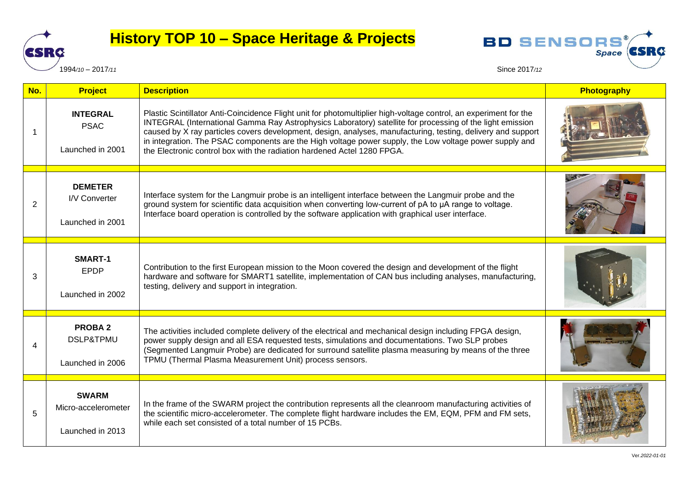

## **History TOP 10 – Space Heritage & Projects**



**BD SENSORS** 

Space **CSRC** 

| No. | <b>Project</b>                                            | <b>Description</b>                                                                                                                                                                                                                                                                                                                                                                                                                                                                                                                   | Photography |
|-----|-----------------------------------------------------------|--------------------------------------------------------------------------------------------------------------------------------------------------------------------------------------------------------------------------------------------------------------------------------------------------------------------------------------------------------------------------------------------------------------------------------------------------------------------------------------------------------------------------------------|-------------|
| 1   | <b>INTEGRAL</b><br><b>PSAC</b><br>Launched in 2001        | Plastic Scintillator Anti-Coincidence Flight unit for photomultiplier high-voltage control, an experiment for the<br>INTEGRAL (International Gamma Ray Astrophysics Laboratory) satellite for processing of the light emission<br>caused by X ray particles covers development, design, analyses, manufacturing, testing, delivery and support<br>in integration. The PSAC components are the High voltage power supply, the Low voltage power supply and<br>the Electronic control box with the radiation hardened Actel 1280 FPGA. |             |
| 2   | <b>DEMETER</b><br>I/V Converter<br>Launched in 2001       | Interface system for the Langmuir probe is an intelligent interface between the Langmuir probe and the<br>ground system for scientific data acquisition when converting low-current of pA to µA range to voltage.<br>Interface board operation is controlled by the software application with graphical user interface.                                                                                                                                                                                                              |             |
| 3   | SMART-1<br><b>EPDP</b><br>Launched in 2002                | Contribution to the first European mission to the Moon covered the design and development of the flight<br>hardware and software for SMART1 satellite, implementation of CAN bus including analyses, manufacturing,<br>testing, delivery and support in integration.                                                                                                                                                                                                                                                                 |             |
|     | <b>PROBA2</b><br><b>DSLP&amp;TPMU</b><br>Launched in 2006 | The activities included complete delivery of the electrical and mechanical design including FPGA design,<br>power supply design and all ESA requested tests, simulations and documentations. Two SLP probes<br>(Segmented Langmuir Probe) are dedicated for surround satellite plasma measuring by means of the three<br>TPMU (Thermal Plasma Measurement Unit) process sensors.                                                                                                                                                     |             |
| 5   | <b>SWARM</b><br>Micro-accelerometer<br>Launched in 2013   | In the frame of the SWARM project the contribution represents all the cleanroom manufacturing activities of<br>the scientific micro-accelerometer. The complete flight hardware includes the EM, EQM, PFM and FM sets,<br>while each set consisted of a total number of 15 PCBs.                                                                                                                                                                                                                                                     |             |